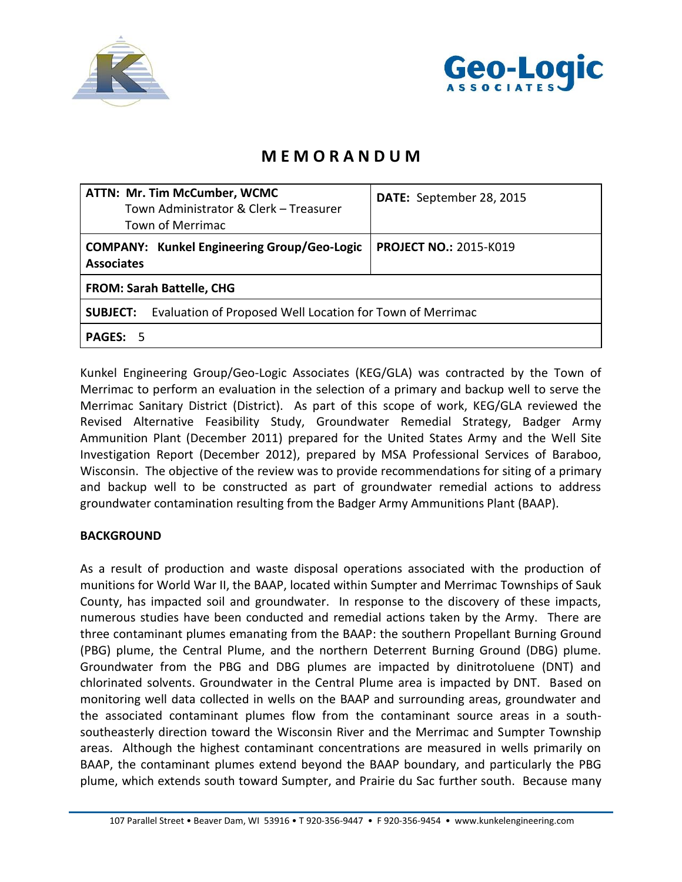



## **M E M O R A N D U M**

| <b>ATTN: Mr. Tim McCumber, WCMC</b><br>Town Administrator & Clerk - Treasurer<br>Town of Merrimac | DATE: September 28, 2015      |
|---------------------------------------------------------------------------------------------------|-------------------------------|
| <b>COMPANY: Kunkel Engineering Group/Geo-Logic</b><br><b>Associates</b>                           | <b>PROJECT NO.: 2015-K019</b> |
| <b>FROM: Sarah Battelle, CHG</b>                                                                  |                               |
| Evaluation of Proposed Well Location for Town of Merrimac<br><b>SUBJECT:</b>                      |                               |
| <b>PAGES:</b><br>- 5                                                                              |                               |

Kunkel Engineering Group/Geo-Logic Associates (KEG/GLA) was contracted by the Town of Merrimac to perform an evaluation in the selection of a primary and backup well to serve the Merrimac Sanitary District (District). As part of this scope of work, KEG/GLA reviewed the Revised Alternative Feasibility Study, Groundwater Remedial Strategy, Badger Army Ammunition Plant (December 2011) prepared for the United States Army and the Well Site Investigation Report (December 2012), prepared by MSA Professional Services of Baraboo, Wisconsin. The objective of the review was to provide recommendations for siting of a primary and backup well to be constructed as part of groundwater remedial actions to address groundwater contamination resulting from the Badger Army Ammunitions Plant (BAAP).

## **BACKGROUND**

As a result of production and waste disposal operations associated with the production of munitions for World War II, the BAAP, located within Sumpter and Merrimac Townships of Sauk County, has impacted soil and groundwater. In response to the discovery of these impacts, numerous studies have been conducted and remedial actions taken by the Army. There are three contaminant plumes emanating from the BAAP: the southern Propellant Burning Ground (PBG) plume, the Central Plume, and the northern Deterrent Burning Ground (DBG) plume. Groundwater from the PBG and DBG plumes are impacted by dinitrotoluene (DNT) and chlorinated solvents. Groundwater in the Central Plume area is impacted by DNT. Based on monitoring well data collected in wells on the BAAP and surrounding areas, groundwater and the associated contaminant plumes flow from the contaminant source areas in a southsoutheasterly direction toward the Wisconsin River and the Merrimac and Sumpter Township areas. Although the highest contaminant concentrations are measured in wells primarily on BAAP, the contaminant plumes extend beyond the BAAP boundary, and particularly the PBG plume, which extends south toward Sumpter, and Prairie du Sac further south. Because many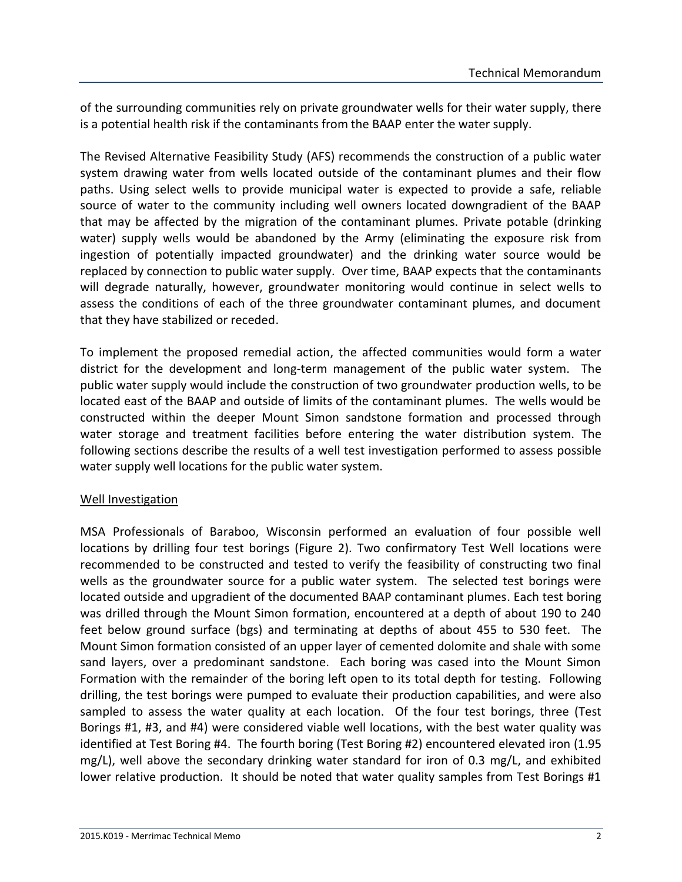of the surrounding communities rely on private groundwater wells for their water supply, there is a potential health risk if the contaminants from the BAAP enter the water supply.

The Revised Alternative Feasibility Study (AFS) recommends the construction of a public water system drawing water from wells located outside of the contaminant plumes and their flow paths. Using select wells to provide municipal water is expected to provide a safe, reliable source of water to the community including well owners located downgradient of the BAAP that may be affected by the migration of the contaminant plumes. Private potable (drinking water) supply wells would be abandoned by the Army (eliminating the exposure risk from ingestion of potentially impacted groundwater) and the drinking water source would be replaced by connection to public water supply. Over time, BAAP expects that the contaminants will degrade naturally, however, groundwater monitoring would continue in select wells to assess the conditions of each of the three groundwater contaminant plumes, and document that they have stabilized or receded.

To implement the proposed remedial action, the affected communities would form a water district for the development and long-term management of the public water system. The public water supply would include the construction of two groundwater production wells, to be located east of the BAAP and outside of limits of the contaminant plumes. The wells would be constructed within the deeper Mount Simon sandstone formation and processed through water storage and treatment facilities before entering the water distribution system. The following sections describe the results of a well test investigation performed to assess possible water supply well locations for the public water system.

## Well Investigation

MSA Professionals of Baraboo, Wisconsin performed an evaluation of four possible well locations by drilling four test borings (Figure 2). Two confirmatory Test Well locations were recommended to be constructed and tested to verify the feasibility of constructing two final wells as the groundwater source for a public water system. The selected test borings were located outside and upgradient of the documented BAAP contaminant plumes. Each test boring was drilled through the Mount Simon formation, encountered at a depth of about 190 to 240 feet below ground surface (bgs) and terminating at depths of about 455 to 530 feet. The Mount Simon formation consisted of an upper layer of cemented dolomite and shale with some sand layers, over a predominant sandstone. Each boring was cased into the Mount Simon Formation with the remainder of the boring left open to its total depth for testing. Following drilling, the test borings were pumped to evaluate their production capabilities, and were also sampled to assess the water quality at each location. Of the four test borings, three (Test Borings #1, #3, and #4) were considered viable well locations, with the best water quality was identified at Test Boring #4. The fourth boring (Test Boring #2) encountered elevated iron (1.95 mg/L), well above the secondary drinking water standard for iron of 0.3 mg/L, and exhibited lower relative production. It should be noted that water quality samples from Test Borings #1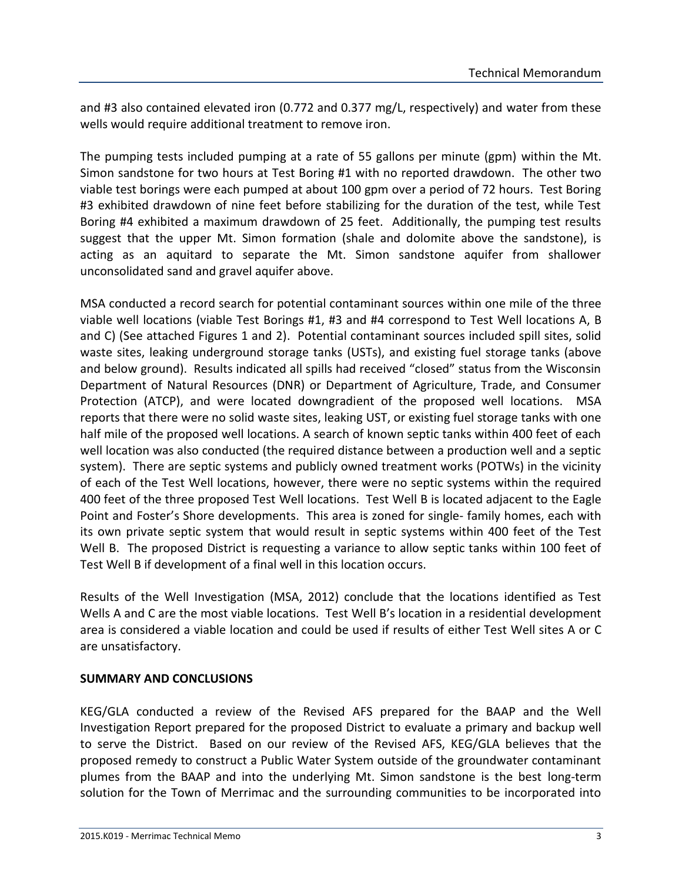and #3 also contained elevated iron (0.772 and 0.377 mg/L, respectively) and water from these wells would require additional treatment to remove iron.

The pumping tests included pumping at a rate of 55 gallons per minute (gpm) within the Mt. Simon sandstone for two hours at Test Boring #1 with no reported drawdown. The other two viable test borings were each pumped at about 100 gpm over a period of 72 hours. Test Boring #3 exhibited drawdown of nine feet before stabilizing for the duration of the test, while Test Boring #4 exhibited a maximum drawdown of 25 feet. Additionally, the pumping test results suggest that the upper Mt. Simon formation (shale and dolomite above the sandstone), is acting as an aquitard to separate the Mt. Simon sandstone aquifer from shallower unconsolidated sand and gravel aquifer above.

MSA conducted a record search for potential contaminant sources within one mile of the three viable well locations (viable Test Borings #1, #3 and #4 correspond to Test Well locations A, B and C) (See attached Figures 1 and 2). Potential contaminant sources included spill sites, solid waste sites, leaking underground storage tanks (USTs), and existing fuel storage tanks (above and below ground). Results indicated all spills had received "closed" status from the Wisconsin Department of Natural Resources (DNR) or Department of Agriculture, Trade, and Consumer Protection (ATCP), and were located downgradient of the proposed well locations. MSA reports that there were no solid waste sites, leaking UST, or existing fuel storage tanks with one half mile of the proposed well locations. A search of known septic tanks within 400 feet of each well location was also conducted (the required distance between a production well and a septic system). There are septic systems and publicly owned treatment works (POTWs) in the vicinity of each of the Test Well locations, however, there were no septic systems within the required 400 feet of the three proposed Test Well locations. Test Well B is located adjacent to the Eagle Point and Foster's Shore developments. This area is zoned for single- family homes, each with its own private septic system that would result in septic systems within 400 feet of the Test Well B. The proposed District is requesting a variance to allow septic tanks within 100 feet of Test Well B if development of a final well in this location occurs.

Results of the Well Investigation (MSA, 2012) conclude that the locations identified as Test Wells A and C are the most viable locations. Test Well B's location in a residential development area is considered a viable location and could be used if results of either Test Well sites A or C are unsatisfactory.

## **SUMMARY AND CONCLUSIONS**

KEG/GLA conducted a review of the Revised AFS prepared for the BAAP and the Well Investigation Report prepared for the proposed District to evaluate a primary and backup well to serve the District. Based on our review of the Revised AFS, KEG/GLA believes that the proposed remedy to construct a Public Water System outside of the groundwater contaminant plumes from the BAAP and into the underlying Mt. Simon sandstone is the best long-term solution for the Town of Merrimac and the surrounding communities to be incorporated into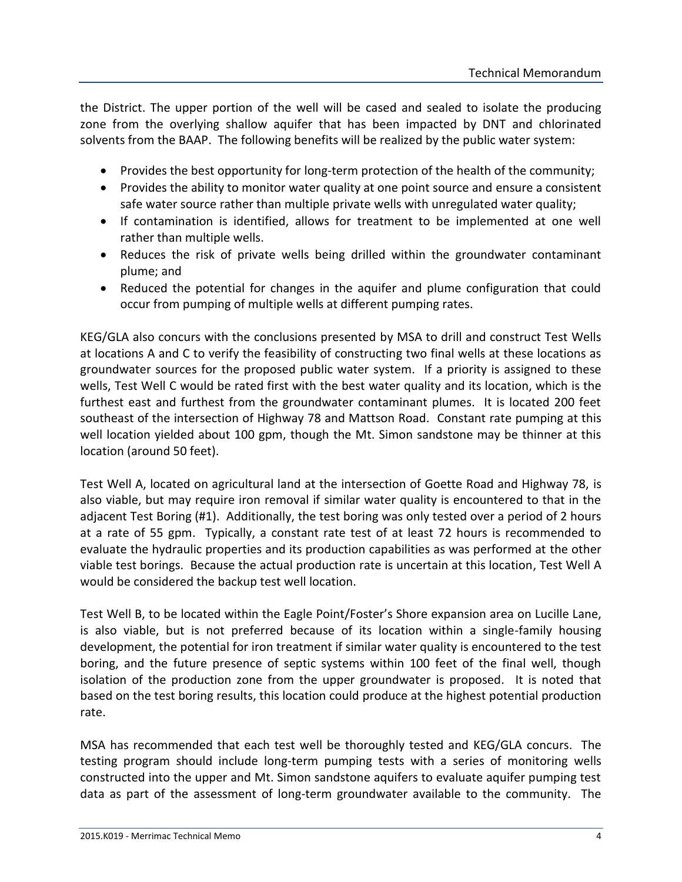the District. The upper portion of the well will be cased and sealed to isolate the producing zone from the overlying shallow aquifer that has been impacted by DNT and chlorinated solvents from the BAAP. The following benefits will be realized by the public water system:

- Provides the best opportunity for long-term protection of the health of the community;
- Provides the ability to monitor water quality at one point source and ensure a consistent safe water source rather than multiple private wells with unregulated water quality;
- If contamination is identified, allows for treatment to be implemented at one well rather than multiple wells.
- Reduces the risk of private wells being drilled within the groundwater contaminant plume; and
- Reduced the potential for changes in the aquifer and plume configuration that could occur from pumping of multiple wells at different pumping rates.

KEG/GLA also concurs with the conclusions presented by MSA to drill and construct Test Wells at locations A and C to verify the feasibility of constructing two final wells at these locations as groundwater sources for the proposed public water system. If a priority is assigned to these wells, Test Well C would be rated first with the best water quality and its location, which is the furthest east and furthest from the groundwater contaminant plumes. It is located 200 feet southeast of the intersection of Highway 78 and Mattson Road. Constant rate pumping at this well location yielded about 100 gpm, though the Mt. Simon sandstone may be thinner at this location (around 50 feet).

Test Well A, located on agricultural land at the intersection of Goette Road and Highway 78, is also viable, but may require iron removal if similar water quality is encountered to that in the adjacent Test Boring (#1). Additionally, the test boring was only tested over a period of 2 hours at a rate of 55 gpm. Typically, a constant rate test of at least 72 hours is recommended to evaluate the hydraulic properties and its production capabilities as was performed at the other viable test borings. Because the actual production rate is uncertain at this location, Test Well A would be considered the backup test well location.

Test Well B, to be located within the Eagle Point/Foster's Shore expansion area on Lucille Lane, is also viable, but is not preferred because of its location within a single-family housing development, the potential for iron treatment if similar water quality is encountered to the test boring, and the future presence of septic systems within 100 feet of the final well, though isolation of the production zone from the upper groundwater is proposed. It is noted that based on the test boring results, this location could produce at the highest potential production rate.

MSA has recommended that each test well be thoroughly tested and KEG/GLA concurs. The testing program should include long-term pumping tests with a series of monitoring wells constructed into the upper and Mt. Simon sandstone aquifers to evaluate aquifer pumping test data as part of the assessment of long-term groundwater available to the community. The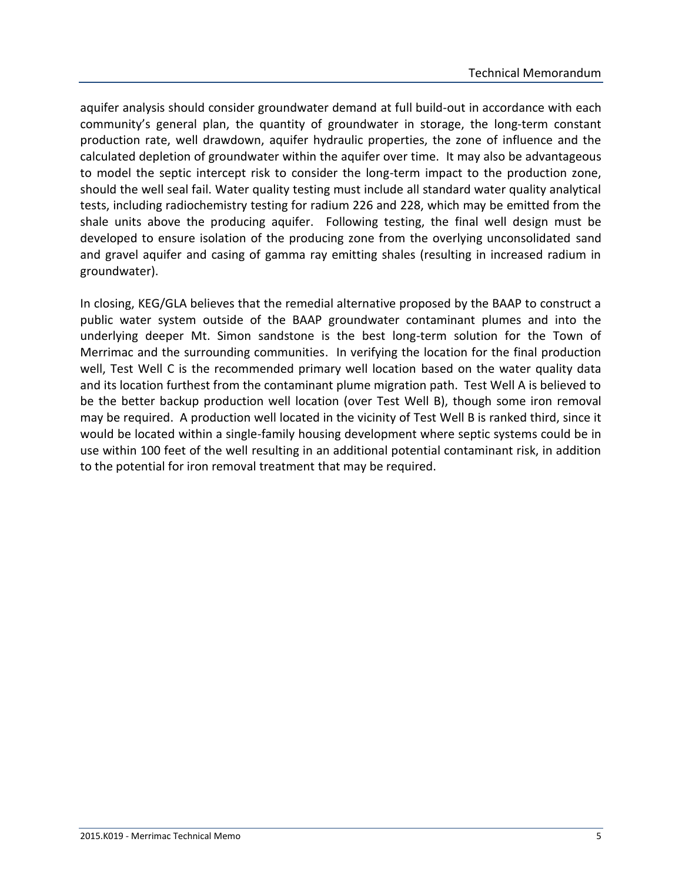aquifer analysis should consider groundwater demand at full build-out in accordance with each community's general plan, the quantity of groundwater in storage, the long-term constant production rate, well drawdown, aquifer hydraulic properties, the zone of influence and the calculated depletion of groundwater within the aquifer over time. It may also be advantageous to model the septic intercept risk to consider the long-term impact to the production zone, should the well seal fail. Water quality testing must include all standard water quality analytical tests, including radiochemistry testing for radium 226 and 228, which may be emitted from the shale units above the producing aquifer. Following testing, the final well design must be developed to ensure isolation of the producing zone from the overlying unconsolidated sand and gravel aquifer and casing of gamma ray emitting shales (resulting in increased radium in groundwater).

In closing, KEG/GLA believes that the remedial alternative proposed by the BAAP to construct a public water system outside of the BAAP groundwater contaminant plumes and into the underlying deeper Mt. Simon sandstone is the best long-term solution for the Town of Merrimac and the surrounding communities. In verifying the location for the final production well, Test Well C is the recommended primary well location based on the water quality data and its location furthest from the contaminant plume migration path. Test Well A is believed to be the better backup production well location (over Test Well B), though some iron removal may be required. A production well located in the vicinity of Test Well B is ranked third, since it would be located within a single-family housing development where septic systems could be in use within 100 feet of the well resulting in an additional potential contaminant risk, in addition to the potential for iron removal treatment that may be required.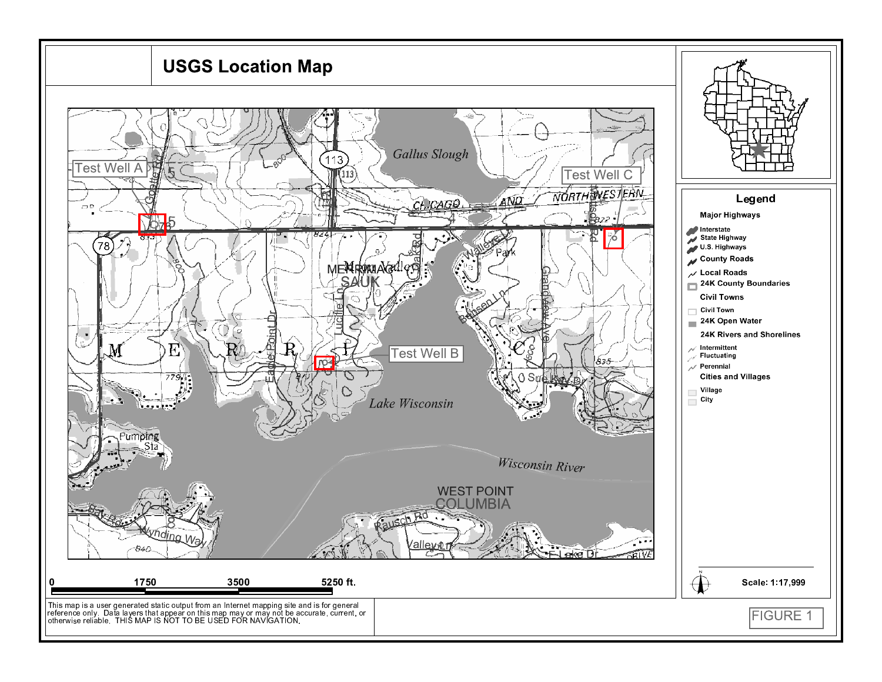